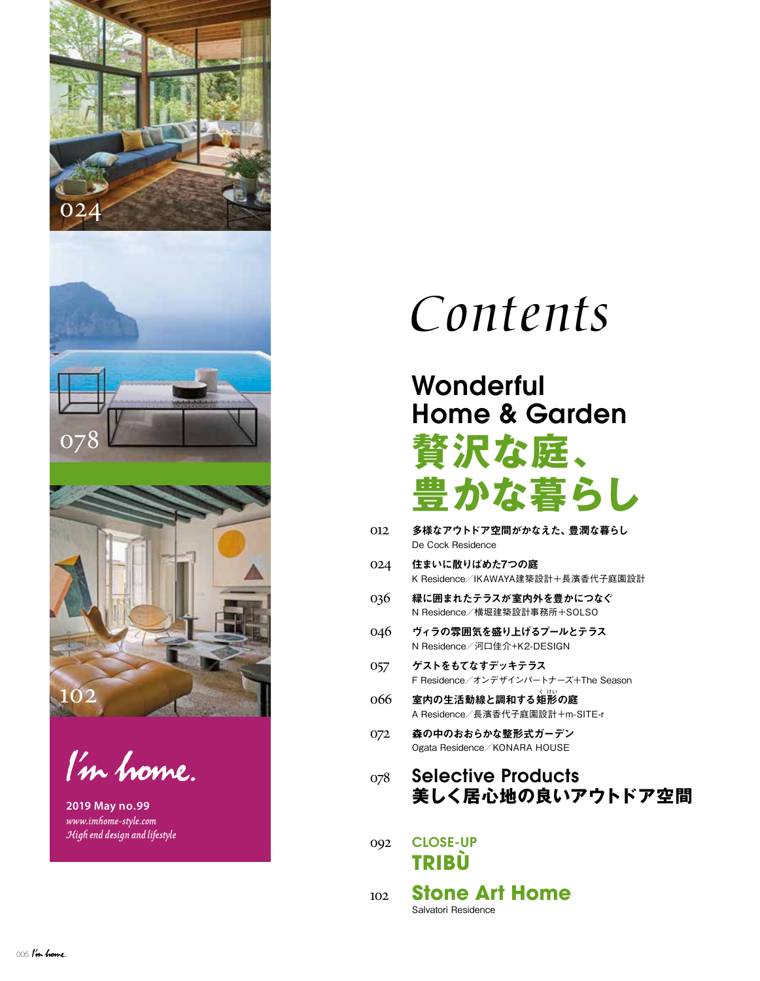

I'm home.

**2019 May no.99** *www.imhome-style.com High end design and lifestyle*

# *Contents*

## **Wonderful** Home & Garden **贅沢な庭、**

- **豊かな暮らし** 012 多様なアウトドア空間がかなえた、豊潤な暮らし De Cock Residence 024 住まいに散りばめた7つの庭 K Residence/IKAWAYA建築設計+長濱香代子庭園設計 036 緑に囲まれたテラスが室内外を豊かにつなぐ N Residence/横堀建築設計事務所+SOLSO 046 ヴィラの雰囲気を盛り上げるプールとテラス N Residence/河口佳介+K2-DESIGN 057 ゲストをもてなすデッキテラス F Residence/オンデザインパートナーズ+The Season  $066$  室内の生活動線と調和する矩形の庭
	- A Residence/長濱香代子庭園設計+m-SITE-r
- 072 森の中のおおらかな整形式ガーデン Ogata Residence/KONARA HOUSE
- 078 Selective Products **美しく居心地の良いアウトドア空間**
- 092 CLOSE-UP **TRIBÙ**
- 102 **Stone Art Home** Salvatori Residence